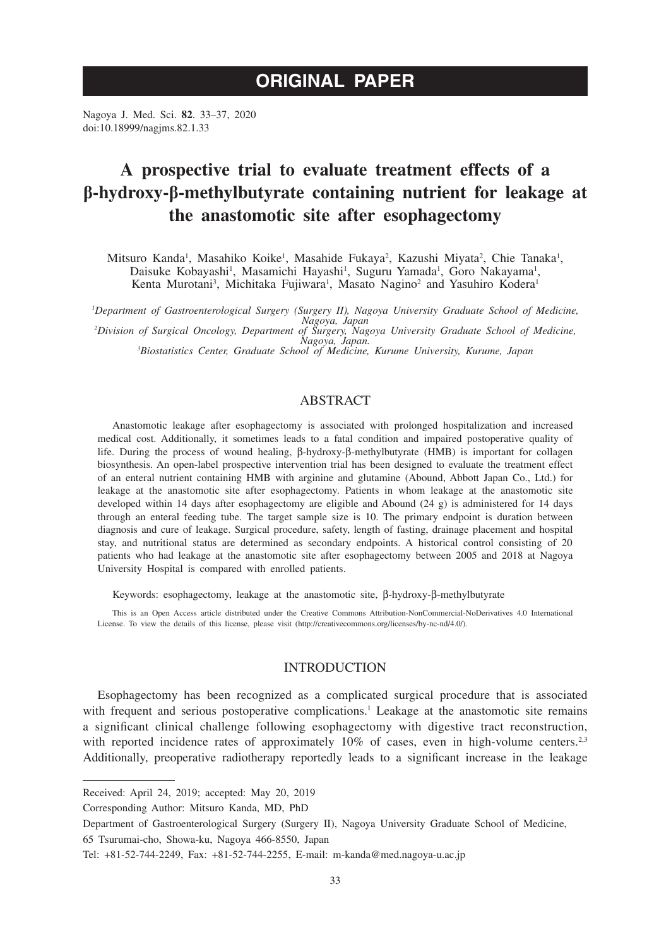# **ORIGINAL PAPER**

Nagoya J. Med. Sci. **82**. 33–37, 2020 doi:10.18999/nagjms.82.1.33

# **A prospective trial to evaluate treatment effects of a β-hydroxy-β-methylbutyrate containing nutrient for leakage at the anastomotic site after esophagectomy**

Mitsuro Kanda<sup>1</sup>, Masahiko Koike<sup>1</sup>, Masahide Fukaya<sup>2</sup>, Kazushi Miyata<sup>2</sup>, Chie Tanaka<sup>1</sup>, Daisuke Kobayashi<sup>1</sup>, Masamichi Hayashi<sup>1</sup>, Suguru Yamada<sup>1</sup>, Goro Nakayama<sup>1</sup>, Kenta Murotani<sup>3</sup>, Michitaka Fujiwara<sup>1</sup>, Masato Nagino<sup>2</sup> and Yasuhiro Kodera<sup>1</sup>

*1 Department of Gastroenterological Surgery (Surgery II), Nagoya University Graduate School of Medicine, Nagoya, Japan <sup>2</sup> Division of Surgical Oncology, Department of Surgery, Nagoya University Graduate School of Medicine,* 

*Nagoya, Japan. <sup>3</sup> Biostatistics Center, Graduate School of Medicine, Kurume University, Kurume, Japan*

# ABSTRACT

Anastomotic leakage after esophagectomy is associated with prolonged hospitalization and increased medical cost. Additionally, it sometimes leads to a fatal condition and impaired postoperative quality of life. During the process of wound healing,  $\beta$ -hydroxy- $\beta$ -methylbutyrate (HMB) is important for collagen biosynthesis. An open-label prospective intervention trial has been designed to evaluate the treatment effect of an enteral nutrient containing HMB with arginine and glutamine (Abound, Abbott Japan Co., Ltd.) for leakage at the anastomotic site after esophagectomy. Patients in whom leakage at the anastomotic site developed within 14 days after esophagectomy are eligible and Abound (24 g) is administered for 14 days through an enteral feeding tube. The target sample size is 10. The primary endpoint is duration between diagnosis and cure of leakage. Surgical procedure, safety, length of fasting, drainage placement and hospital stay, and nutritional status are determined as secondary endpoints. A historical control consisting of 20 patients who had leakage at the anastomotic site after esophagectomy between 2005 and 2018 at Nagoya University Hospital is compared with enrolled patients.

Keywords: esophagectomy, leakage at the anastomotic site,  $\beta$ -hydroxy- $\beta$ -methylbutyrate

This is an Open Access article distributed under the Creative Commons Attribution-NonCommercial-NoDerivatives 4.0 International License. To view the details of this license, please visit (http://creativecommons.org/licenses/by-nc-nd/4.0/).

## INTRODUCTION

Esophagectomy has been recognized as a complicated surgical procedure that is associated with frequent and serious postoperative complications.<sup>1</sup> Leakage at the anastomotic site remains a significant clinical challenge following esophagectomy with digestive tract reconstruction, with reported incidence rates of approximately  $10\%$  of cases, even in high-volume centers.<sup>2,3</sup> Additionally, preoperative radiotherapy reportedly leads to a significant increase in the leakage

Received: April 24, 2019; accepted: May 20, 2019

Corresponding Author: Mitsuro Kanda, MD, PhD

Department of Gastroenterological Surgery (Surgery II), Nagoya University Graduate School of Medicine,

<sup>65</sup> Tsurumai-cho, Showa-ku, Nagoya 466-8550, Japan

Tel: +81-52-744-2249, Fax: +81-52-744-2255, E-mail: m-kanda@med.nagoya-u.ac.jp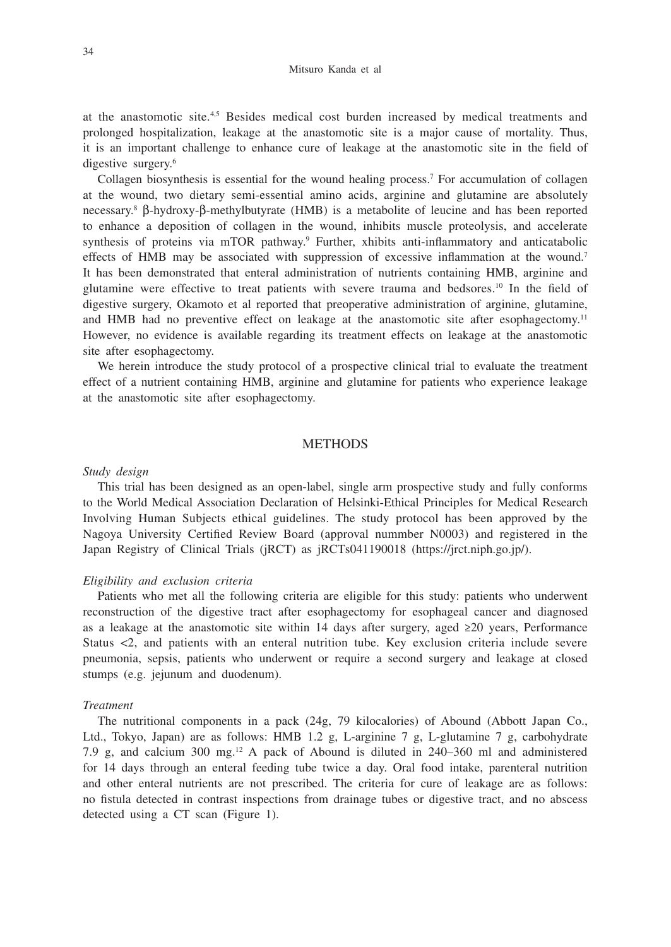at the anastomotic site.4,5 Besides medical cost burden increased by medical treatments and prolonged hospitalization, leakage at the anastomotic site is a major cause of mortality. Thus, it is an important challenge to enhance cure of leakage at the anastomotic site in the field of digestive surgery.<sup>6</sup>

Collagen biosynthesis is essential for the wound healing process.7 For accumulation of collagen at the wound, two dietary semi-essential amino acids, arginine and glutamine are absolutely necessary.<sup>8</sup>  $\beta$ -hydroxy- $\beta$ -methylbutyrate (HMB) is a metabolite of leucine and has been reported to enhance a deposition of collagen in the wound, inhibits muscle proteolysis, and accelerate synthesis of proteins via mTOR pathway.<sup>9</sup> Further, xhibits anti-inflammatory and anticatabolic effects of HMB may be associated with suppression of excessive inflammation at the wound.7 It has been demonstrated that enteral administration of nutrients containing HMB, arginine and glutamine were effective to treat patients with severe trauma and bedsores.10 In the field of digestive surgery, Okamoto et al reported that preoperative administration of arginine, glutamine, and HMB had no preventive effect on leakage at the anastomotic site after esophagectomy.<sup>11</sup> However, no evidence is available regarding its treatment effects on leakage at the anastomotic site after esophagectomy.

We herein introduce the study protocol of a prospective clinical trial to evaluate the treatment effect of a nutrient containing HMB, arginine and glutamine for patients who experience leakage at the anastomotic site after esophagectomy.

## **METHODS**

#### *Study design*

This trial has been designed as an open-label, single arm prospective study and fully conforms to the World Medical Association Declaration of Helsinki-Ethical Principles for Medical Research Involving Human Subjects ethical guidelines. The study protocol has been approved by the Nagoya University Certified Review Board (approval nummber N0003) and registered in the Japan Registry of Clinical Trials (jRCT) as jRCTs041190018 (https://jrct.niph.go.jp/).

#### *Eligibility and exclusion criteria*

Patients who met all the following criteria are eligible for this study: patients who underwent reconstruction of the digestive tract after esophagectomy for esophageal cancer and diagnosed as a leakage at the anastomotic site within 14 days after surgery, aged  $\geq 20$  years, Performance Status <2, and patients with an enteral nutrition tube. Key exclusion criteria include severe pneumonia, sepsis, patients who underwent or require a second surgery and leakage at closed stumps (e.g. jejunum and duodenum).

## *Treatment*

The nutritional components in a pack (24g, 79 kilocalories) of Abound (Abbott Japan Co., Ltd., Tokyo, Japan) are as follows: HMB 1.2 g, L-arginine 7 g, L-glutamine 7 g, carbohydrate 7.9 g, and calcium 300 mg.<sup>12</sup> A pack of Abound is diluted in  $240-360$  ml and administered for 14 days through an enteral feeding tube twice a day. Oral food intake, parenteral nutrition and other enteral nutrients are not prescribed. The criteria for cure of leakage are as follows: no fistula detected in contrast inspections from drainage tubes or digestive tract, and no abscess detected using a CT scan (Figure 1).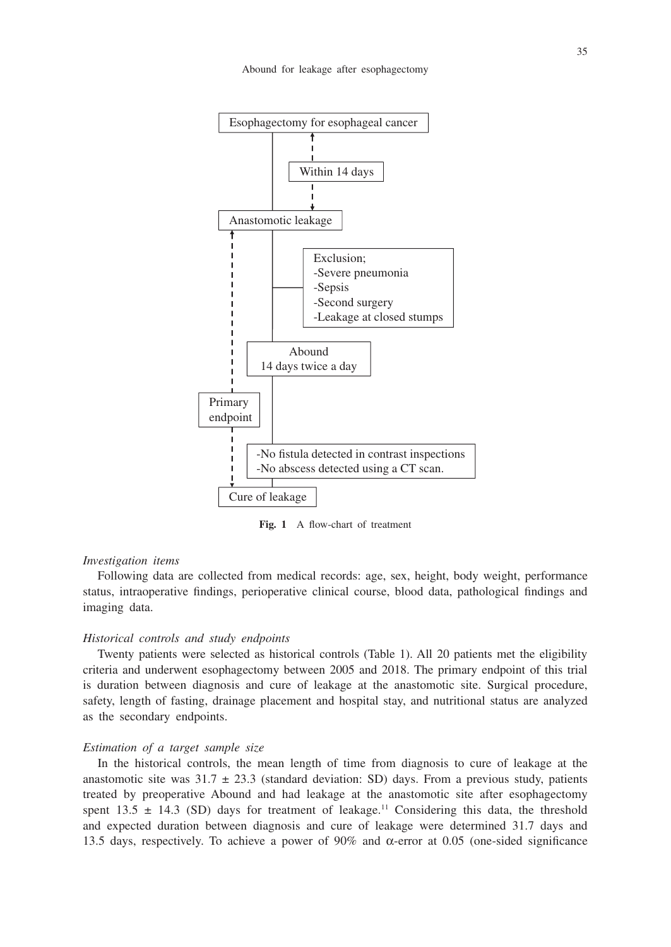

**Fig. 1** A flow-chart of treatment

#### *Investigation items*

Following data are collected from medical records: age, sex, height, body weight, performance status, intraoperative findings, perioperative clinical course, blood data, pathological findings and imaging data.

#### *Historical controls and study endpoints*

Twenty patients were selected as historical controls (Table 1). All 20 patients met the eligibility criteria and underwent esophagectomy between 2005 and 2018. The primary endpoint of this trial is duration between diagnosis and cure of leakage at the anastomotic site. Surgical procedure, safety, length of fasting, drainage placement and hospital stay, and nutritional status are analyzed as the secondary endpoints.

#### *Estimation of a target sample size*

In the historical controls, the mean length of time from diagnosis to cure of leakage at the anastomotic site was  $31.7 \pm 23.3$  (standard deviation: SD) days. From a previous study, patients treated by preoperative Abound and had leakage at the anastomotic site after esophagectomy spent 13.5  $\pm$  14.3 (SD) days for treatment of leakage.<sup>11</sup> Considering this data, the threshold and expected duration between diagnosis and cure of leakage were determined 31.7 days and 13.5 days, respectively. To achieve a power of  $90\%$  and  $\alpha$ -error at 0.05 (one-sided significance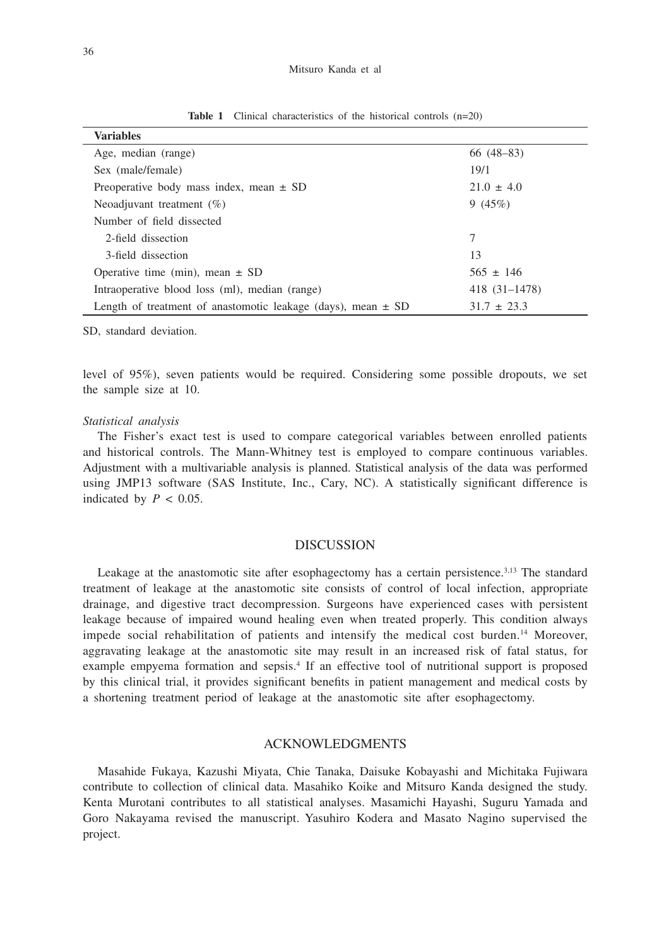#### Mitsuro Kanda et al

| <b>Variables</b>                                                 |                 |
|------------------------------------------------------------------|-----------------|
| Age, median (range)                                              | $66(48-83)$     |
| Sex (male/female)                                                | 19/1            |
| Preoperative body mass index, mean $\pm$ SD                      | $21.0 \pm 4.0$  |
| Neoadjuvant treatment $(\%)$                                     | 9 $(45%)$       |
| Number of field dissected                                        |                 |
| 2-field dissection                                               | 7               |
| 3-field dissection                                               | 13              |
| Operative time (min), mean $\pm$ SD                              | $565 \pm 146$   |
| Intraoperative blood loss (ml), median (range)                   | 418 (31–1478)   |
| Length of treatment of anastomotic leakage (days), mean $\pm$ SD | $31.7 \pm 23.3$ |

**Table 1** Clinical characteristics of the historical controls (n=20)

SD, standard deviation.

level of 95%), seven patients would be required. Considering some possible dropouts, we set the sample size at 10.

## *Statistical analysis*

The Fisher's exact test is used to compare categorical variables between enrolled patients and historical controls. The Mann-Whitney test is employed to compare continuous variables. Adjustment with a multivariable analysis is planned. Statistical analysis of the data was performed using JMP13 software (SAS Institute, Inc., Cary, NC). A statistically significant difference is indicated by  $P < 0.05$ .

### DISCUSSION

Leakage at the anastomotic site after esophagectomy has a certain persistence.<sup>3,13</sup> The standard treatment of leakage at the anastomotic site consists of control of local infection, appropriate drainage, and digestive tract decompression. Surgeons have experienced cases with persistent leakage because of impaired wound healing even when treated properly. This condition always impede social rehabilitation of patients and intensify the medical cost burden.14 Moreover, aggravating leakage at the anastomotic site may result in an increased risk of fatal status, for example empyema formation and sepsis.4 If an effective tool of nutritional support is proposed by this clinical trial, it provides significant benefits in patient management and medical costs by a shortening treatment period of leakage at the anastomotic site after esophagectomy.

## ACKNOWLEDGMENTS

Masahide Fukaya, Kazushi Miyata, Chie Tanaka, Daisuke Kobayashi and Michitaka Fujiwara contribute to collection of clinical data. Masahiko Koike and Mitsuro Kanda designed the study. Kenta Murotani contributes to all statistical analyses. Masamichi Hayashi, Suguru Yamada and Goro Nakayama revised the manuscript. Yasuhiro Kodera and Masato Nagino supervised the project.